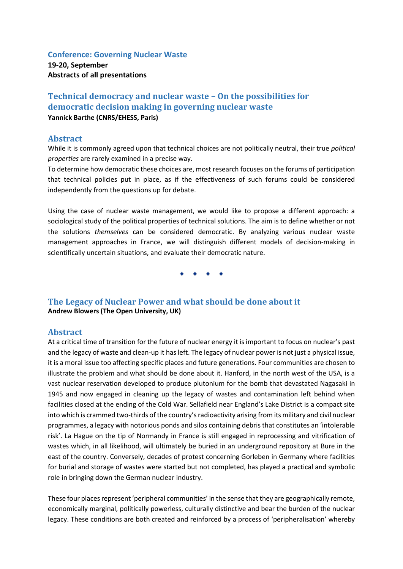### **Conference: Governing Nuclear Waste**

**19-20, September Abstracts of all presentations**

# **Technical democracy and nuclear waste – On the possibilities for democratic decision making in governing nuclear waste Yannick Barthe (CNRS/EHESS, Paris)**

## **Abstract**

While it is commonly agreed upon that technical choices are not politically neutral, their true *political properties* are rarely examined in a precise way.

To determine how democratic these choices are, most research focuses on the forums of participation that technical policies put in place, as if the effectiveness of such forums could be considered independently from the questions up for debate.

Using the case of nuclear waste management, we would like to propose a different approach: a sociological study of the political properties of technical solutions. The aim is to define whether or not the solutions *themselves* can be considered democratic. By analyzing various nuclear waste management approaches in France, we will distinguish different models of decision-making in scientifically uncertain situations, and evaluate their democratic nature.

# **The Legacy of Nuclear Power and what should be done about it Andrew Blowers (The Open University, UK)**

## **Abstract**

At a critical time of transition for the future of nuclear energy it is important to focus on nuclear's past and the legacy of waste and clean-up it has left. The legacy of nuclear power is not just a physical issue, it is a moral issue too affecting specific places and future generations. Four communities are chosen to illustrate the problem and what should be done about it. Hanford, in the north west of the USA, is a vast nuclear reservation developed to produce plutonium for the bomb that devastated Nagasaki in 1945 and now engaged in cleaning up the legacy of wastes and contamination left behind when facilities closed at the ending of the Cold War. Sellafield near England's Lake District is a compact site into which is crammed two-thirds of the country'sradioactivity arising from its military and civil nuclear programmes, a legacy with notorious ponds and silos containing debris that constitutes an 'intolerable risk'. La Hague on the tip of Normandy in France is still engaged in reprocessing and vitrification of wastes which, in all likelihood, will ultimately be buried in an underground repository at Bure in the east of the country. Conversely, decades of protest concerning Gorleben in Germany where facilities for burial and storage of wastes were started but not completed, has played a practical and symbolic role in bringing down the German nuclear industry.

These four places represent 'peripheral communities' in the sense that they are geographically remote, economically marginal, politically powerless, culturally distinctive and bear the burden of the nuclear legacy. These conditions are both created and reinforced by a process of 'peripheralisation' whereby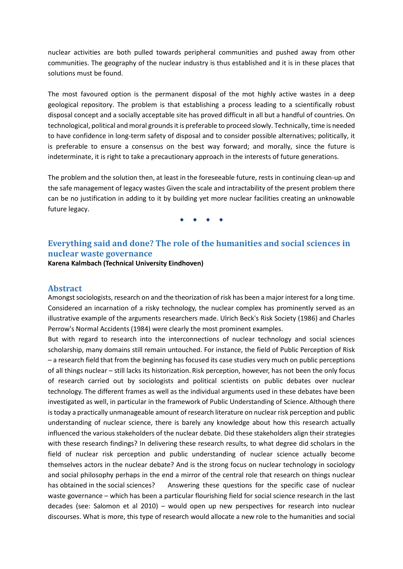nuclear activities are both pulled towards peripheral communities and pushed away from other communities. The geography of the nuclear industry is thus established and it is in these places that solutions must be found.

The most favoured option is the permanent disposal of the mot highly active wastes in a deep geological repository. The problem is that establishing a process leading to a scientifically robust disposal concept and a socially acceptable site has proved difficult in all but a handful of countries. On technological, political and moral grounds it is preferable to proceed slowly. Technically, time is needed to have confidence in long-term safety of disposal and to consider possible alternatives; politically, it is preferable to ensure a consensus on the best way forward; and morally, since the future is indeterminate, it is right to take a precautionary approach in the interests of future generations.

The problem and the solution then, at least in the foreseeable future, rests in continuing clean-up and the safe management of legacy wastes Given the scale and intractability of the present problem there can be no justification in adding to it by building yet more nuclear facilities creating an unknowable future legacy.

# **Everything said and done? The role of the humanities and social sciences in nuclear waste governance**

**Karena Kalmbach (Technical University Eindhoven)**

### **Abstract**

Amongst sociologists, research on and the theorization of risk has been a major interest for a long time. Considered an incarnation of a risky technology, the nuclear complex has prominently served as an illustrative example of the arguments researchers made. Ulrich Beck's Risk Society (1986) and Charles Perrow's Normal Accidents (1984) were clearly the most prominent examples.

But with regard to research into the interconnections of nuclear technology and social sciences scholarship, many domains still remain untouched. For instance, the field of Public Perception of Risk – a research field that from the beginning has focused its case studies very much on public perceptions of all things nuclear – still lacks its historization. Risk perception, however, has not been the only focus of research carried out by sociologists and political scientists on public debates over nuclear technology. The different frames as well as the individual arguments used in these debates have been investigated as well, in particular in the framework of Public Understanding of Science. Although there is today a practically unmanageable amount of research literature on nuclear risk perception and public understanding of nuclear science, there is barely any knowledge about how this research actually influenced the various stakeholders of the nuclear debate. Did these stakeholders align their strategies with these research findings? In delivering these research results, to what degree did scholars in the field of nuclear risk perception and public understanding of nuclear science actually become themselves actors in the nuclear debate? And is the strong focus on nuclear technology in sociology and social philosophy perhaps in the end a mirror of the central role that research on things nuclear has obtained in the social sciences? Answering these questions for the specific case of nuclear waste governance – which has been a particular flourishing field for social science research in the last decades (see: Salomon et al 2010) – would open up new perspectives for research into nuclear discourses. What is more, this type of research would allocate a new role to the humanities and social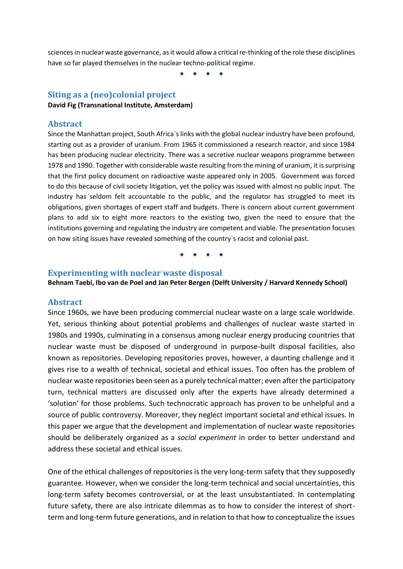sciences in nuclear waste governance, as it would allow a critical re-thinking of the role these disciplines have so far played themselves in the nuclear techno-political regime.

## **Siting as a (neo)colonial project**

**David Fig (Transnational Institute, Amsterdam)** 

### **Abstract**

Since the Manhattan project, South Africa´s links with the global nuclear industry have been profound, starting out as a provider of uranium. From 1965 it commissioned a research reactor, and since 1984 has been producing nuclear electricity. There was a secretive nuclear weapons programme between 1978 and 1990. Together with considerable waste resulting from the mining of uranium, it is surprising that the first policy document on radioactive waste appeared only in 2005. Government was forced to do this because of civil society litigation, yet the policy was issued with almost no public input. The industry has seldom felt accountable to the public, and the regulator has struggled to meet its obligations, given shortages of expert staff and budgets. There is concern about current government plans to add six to eight more reactors to the existing two, given the need to ensure that the institutions governing and regulating the industry are competent and viable. The presentation focuses on how siting issues have revealed something of the country´s racist and colonial past.

### **Experimenting with nuclear waste disposal Behnam Taebi, Ibo van de Poel and Jan Peter Bergen (Delft University / Harvard Kennedy School)**

#### **Abstract**

Since 1960s, we have been producing commercial nuclear waste on a large scale worldwide. Yet, serious thinking about potential problems and challenges of nuclear waste started in 1980s and 1990s, culminating in a consensus among nuclear energy producing countries that nuclear waste must be disposed of underground in purpose-built disposal facilities, also known as repositories. Developing repositories proves, however, a daunting challenge and it gives rise to a wealth of technical, societal and ethical issues. Too often has the problem of nuclear waste repositories been seen as a purely technical matter; even after the participatory turn, technical matters are discussed only after the experts have already determined a 'solution' for those problems. Such technocratic approach has proven to be unhelpful and a source of public controversy. Moreover, they neglect important societal and ethical issues. In this paper we argue that the development and implementation of nuclear waste repositories should be deliberately organized as a *social experiment* in order to better understand and address these societal and ethical issues.

One of the ethical challenges of repositories is the very long-term safety that they supposedly guarantee. However, when we consider the long-term technical and social uncertainties, this long-term safety becomes controversial, or at the least unsubstantiated. In contemplating future safety, there are also intricate dilemmas as to how to consider the interest of shortterm and long-term future generations, and in relation to that how to conceptualize the issues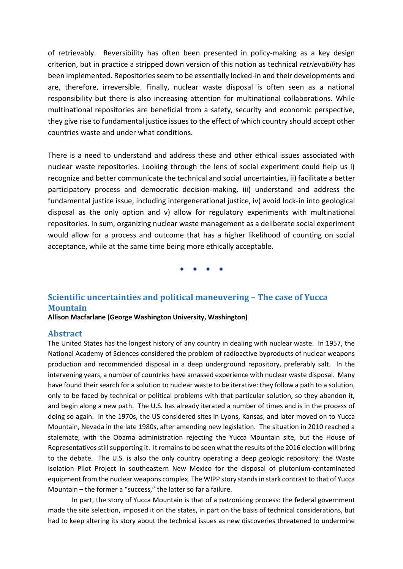of retrievably. Reversibility has often been presented in policy-making as a key design criterion, but in practice a stripped down version of this notion as technical *retrievability* has been implemented. Repositories seem to be essentially locked-in and their developments and are, therefore, irreversible. Finally, nuclear waste disposal is often seen as a national responsibility but there is also increasing attention for multinational collaborations. While multinational repositories are beneficial from a safety, security and economic perspective, they give rise to fundamental justice issues to the effect of which country should accept other countries waste and under what conditions.

There is a need to understand and address these and other ethical issues associated with nuclear waste repositories. Looking through the lens of social experiment could help us i) recognize and better communicate the technical and social uncertainties, ii) facilitate a better participatory process and democratic decision-making, iii) understand and address the fundamental justice issue, including intergenerational justice, iv) avoid lock-in into geological disposal as the only option and v) allow for regulatory experiments with multinational repositories. In sum, organizing nuclear waste management as a deliberate social experiment would allow for a process and outcome that has a higher likelihood of counting on social acceptance, while at the same time being more ethically acceptable.

# **Scientific uncertainties and political maneuvering – The case of Yucca Mountain**

**Allison Macfarlane (George Washington University, Washington)**

## **Abstract**

The United States has the longest history of any country in dealing with nuclear waste. In 1957, the National Academy of Sciences considered the problem of radioactive byproducts of nuclear weapons production and recommended disposal in a deep underground repository, preferably salt. In the intervening years, a number of countries have amassed experience with nuclear waste disposal. Many have found their search for a solution to nuclear waste to be iterative: they follow a path to a solution, only to be faced by technical or political problems with that particular solution, so they abandon it, and begin along a new path. The U.S. has already iterated a number of times and is in the process of doing so again. In the 1970s, the US considered sites in Lyons, Kansas, and later moved on to Yucca Mountain, Nevada in the late 1980s, after amending new legislation. The situation in 2010 reached a stalemate, with the Obama administration rejecting the Yucca Mountain site, but the House of Representatives still supporting it. It remains to be seen what the results of the 2016 election will bring to the debate. The U.S. is also the only country operating a deep geologic repository: the Waste Isolation Pilot Project in southeastern New Mexico for the disposal of plutonium-contaminated equipment from the nuclear weapons complex. The WIPP story stands in stark contrast to that of Yucca Mountain – the former a "success," the latter so far a failure.

In part, the story of Yucca Mountain is that of a patronizing process: the federal government made the site selection, imposed it on the states, in part on the basis of technical considerations, but had to keep altering its story about the technical issues as new discoveries threatened to undermine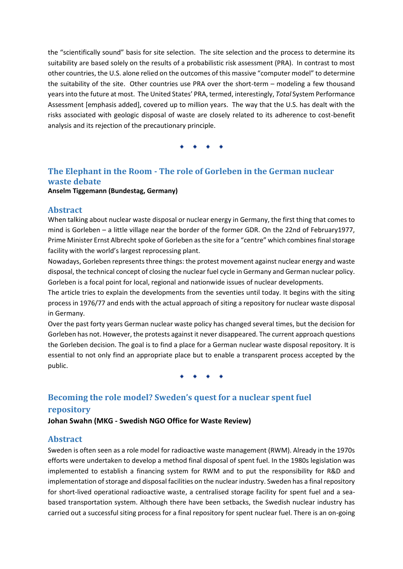the "scientifically sound" basis for site selection. The site selection and the process to determine its suitability are based solely on the results of a probabilistic risk assessment (PRA). In contrast to most other countries, the U.S. alone relied on the outcomes of this massive "computer model" to determine the suitability of the site. Other countries use PRA over the short-term – modeling a few thousand years into the future at most. The United States' PRA, termed, interestingly, *Total* System Performance Assessment [emphasis added], covered up to million years. The way that the U.S. has dealt with the risks associated with geologic disposal of waste are closely related to its adherence to cost-benefit analysis and its rejection of the precautionary principle.

# **The Elephant in the Room - The role of Gorleben in the German nuclear waste debate Anselm Tiggemann (Bundestag, Germany)**

### **Abstract**

When talking about nuclear waste disposal or nuclear energy in Germany, the first thing that comes to mind is Gorleben – a little village near the border of the former GDR. On the 22nd of February1977, Prime Minister Ernst Albrecht spoke of Gorleben as the site for a "centre" which combines final storage facility with the world's largest reprocessing plant.

Nowadays, Gorleben represents three things: the protest movement against nuclear energy and waste disposal, the technical concept of closing the nuclear fuel cycle in Germany and German nuclear policy. Gorleben is a focal point for local, regional and nationwide issues of nuclear developments.

The article tries to explain the developments from the seventies until today. It begins with the siting process in 1976/77 and ends with the actual approach of siting a repository for nuclear waste disposal in Germany.

Over the past forty years German nuclear waste policy has changed several times, but the decision for Gorleben has not. However, the protests against it never disappeared. The current approach questions the Gorleben decision. The goal is to find a place for a German nuclear waste disposal repository. It is essential to not only find an appropriate place but to enable a transparent process accepted by the public.

# **Becoming the role model? Sweden's quest for a nuclear spent fuel repository**

## **Johan Swahn (MKG - Swedish NGO Office for Waste Review)**

## **Abstract**

Sweden is often seen as a role model for radioactive waste management (RWM). Already in the 1970s efforts were undertaken to develop a method final disposal of spent fuel. In the 1980s legislation was implemented to establish a financing system for RWM and to put the responsibility for R&D and implementation of storage and disposal facilities on the nuclear industry. Sweden has a final repository for short-lived operational radioactive waste, a centralised storage facility for spent fuel and a seabased transportation system. Although there have been setbacks, the Swedish nuclear industry has carried out a successful siting process for a final repository for spent nuclear fuel. There is an on-going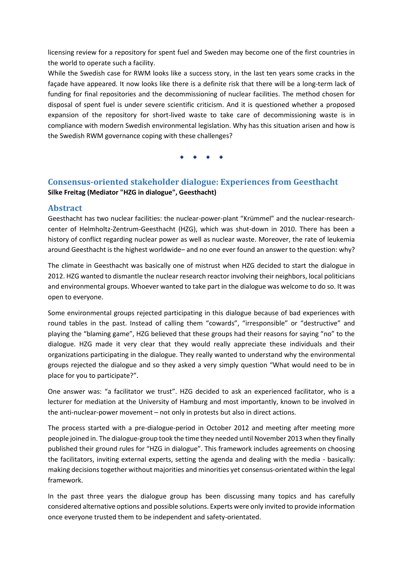licensing review for a repository for spent fuel and Sweden may become one of the first countries in the world to operate such a facility.

While the Swedish case for RWM looks like a success story, in the last ten years some cracks in the façade have appeared. It now looks like there is a definite risk that there will be a long-term lack of funding for final repositories and the decommissioning of nuclear facilities. The method chosen for disposal of spent fuel is under severe scientific criticism. And it is questioned whether a proposed expansion of the repository for short-lived waste to take care of decommissioning waste is in compliance with modern Swedish environmental legislation. Why has this situation arisen and how is the Swedish RWM governance coping with these challenges?

# **Consensus-oriented stakeholder dialogue: Experiences from Geesthacht Silke Freitag (Mediator "HZG in dialogue", Geesthacht)**

# **Abstract**

Geesthacht has two nuclear facilities: the nuclear-power-plant "Krümmel" and the nuclear-researchcenter of Helmholtz-Zentrum-Geesthacht (HZG), which was shut-down in 2010. There has been a history of conflict regarding nuclear power as well as nuclear waste. Moreover, the rate of leukemia around Geesthacht is the highest worldwide– and no one ever found an answer to the question: why?

The climate in Geesthacht was basically one of mistrust when HZG decided to start the dialogue in 2012. HZG wanted to dismantle the nuclear research reactor involving their neighbors, local politicians and environmental groups. Whoever wanted to take part in the dialogue was welcome to do so. It was open to everyone.

Some environmental groups rejected participating in this dialogue because of bad experiences with round tables in the past. Instead of calling them "cowards", "irresponsible" or "destructive" and playing the "blaming game", HZG believed that these groups had their reasons for saying "no" to the dialogue. HZG made it very clear that they would really appreciate these individuals and their organizations participating in the dialogue. They really wanted to understand why the environmental groups rejected the dialogue and so they asked a very simply question "What would need to be in place for you to participate?".

One answer was: "a facilitator we trust". HZG decided to ask an experienced facilitator, who is a lecturer for mediation at the University of Hamburg and most importantly, known to be involved in the anti-nuclear-power movement – not only in protests but also in direct actions.

The process started with a pre-dialogue-period in October 2012 and meeting after meeting more people joined in. The dialogue-group took the time they needed until November 2013 when they finally published their ground rules for "HZG in dialogue". This framework includes agreements on choosing the facilitators, inviting external experts, setting the agenda and dealing with the media - basically: making decisions together without majorities and minorities yet consensus-orientated within the legal framework.

In the past three years the dialogue group has been discussing many topics and has carefully considered alternative options and possible solutions. Experts were only invited to provide information once everyone trusted them to be independent and safety-orientated.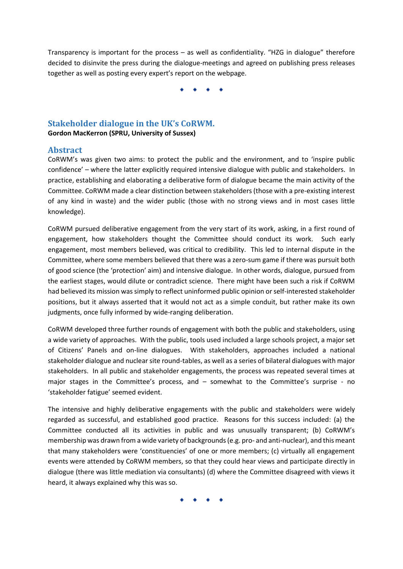Transparency is important for the process – as well as confidentiality. "HZG in dialogue" therefore decided to disinvite the press during the dialogue-meetings and agreed on publishing press releases together as well as posting every expert's report on the webpage.

# **Stakeholder dialogue in the UK's CoRWM.**

**Gordon MacKerron (SPRU, University of Sussex)**

## **Abstract**

CoRWM's was given two aims: to protect the public and the environment, and to 'inspire public confidence' – where the latter explicitly required intensive dialogue with public and stakeholders. In practice, establishing and elaborating a deliberative form of dialogue became the main activity of the Committee. CoRWM made a clear distinction between stakeholders (those with a pre-existing interest of any kind in waste) and the wider public (those with no strong views and in most cases little knowledge).

CoRWM pursued deliberative engagement from the very start of its work, asking, in a first round of engagement, how stakeholders thought the Committee should conduct its work. Such early engagement, most members believed, was critical to credibility. This led to internal dispute in the Committee, where some members believed that there was a zero-sum game if there was pursuit both of good science (the 'protection' aim) and intensive dialogue. In other words, dialogue, pursued from the earliest stages, would dilute or contradict science. There might have been such a risk if CoRWM had believed its mission was simply to reflect uninformed public opinion or self-interested stakeholder positions, but it always asserted that it would not act as a simple conduit, but rather make its own judgments, once fully informed by wide-ranging deliberation.

CoRWM developed three further rounds of engagement with both the public and stakeholders, using a wide variety of approaches. With the public, tools used included a large schools project, a major set of Citizens' Panels and on-line dialogues. With stakeholders, approaches included a national stakeholder dialogue and nuclear site round-tables, as well as a series of bilateral dialogues with major stakeholders. In all public and stakeholder engagements, the process was repeated several times at major stages in the Committee's process, and  $-$  somewhat to the Committee's surprise - no 'stakeholder fatigue' seemed evident.

The intensive and highly deliberative engagements with the public and stakeholders were widely regarded as successful, and established good practice. Reasons for this success included: (a) the Committee conducted all its activities in public and was unusually transparent; (b) CoRWM's membership was drawn from a wide variety of backgrounds (e.g. pro- and anti-nuclear), and this meant that many stakeholders were 'constituencies' of one or more members; (c) virtually all engagement events were attended by CoRWM members, so that they could hear views and participate directly in dialogue (there was little mediation via consultants) (d) where the Committee disagreed with views it heard, it always explained why this was so.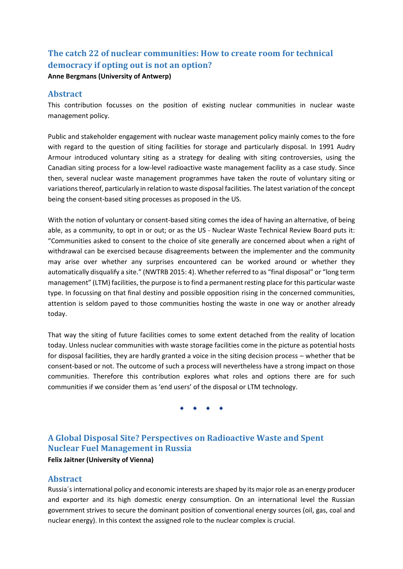# **The catch 22 of nuclear communities: How to create room for technical democracy if opting out is not an option?**

### **Anne Bergmans (University of Antwerp)**

## **Abstract**

This contribution focusses on the position of existing nuclear communities in nuclear waste management policy.

Public and stakeholder engagement with nuclear waste management policy mainly comes to the fore with regard to the question of siting facilities for storage and particularly disposal. In 1991 Audry Armour introduced voluntary siting as a strategy for dealing with siting controversies, using the Canadian siting process for a low-level radioactive waste management facility as a case study. Since then, several nuclear waste management programmes have taken the route of voluntary siting or variations thereof, particularly in relation to waste disposal facilities. The latest variation of the concept being the consent-based siting processes as proposed in the US.

With the notion of voluntary or consent-based siting comes the idea of having an alternative, of being able, as a community, to opt in or out; or as the US - Nuclear Waste Technical Review Board puts it: "Communities asked to consent to the choice of site generally are concerned about when a right of withdrawal can be exercised because disagreements between the implementer and the community may arise over whether any surprises encountered can be worked around or whether they automatically disqualify a site." (NWTRB 2015: 4). Whether referred to as "final disposal" or "long term management" (LTM) facilities, the purpose is to find a permanent resting place for this particular waste type. In focussing on that final destiny and possible opposition rising in the concerned communities, attention is seldom payed to those communities hosting the waste in one way or another already today.

That way the siting of future facilities comes to some extent detached from the reality of location today. Unless nuclear communities with waste storage facilities come in the picture as potential hosts for disposal facilities, they are hardly granted a voice in the siting decision process – whether that be consent-based or not. The outcome of such a process will nevertheless have a strong impact on those communities. Therefore this contribution explores what roles and options there are for such communities if we consider them as 'end users' of the disposal or LTM technology.

# **A Global Disposal Site? Perspectives on Radioactive Waste and Spent Nuclear Fuel Management in Russia**

### **Felix Jaitner (University of Vienna)**

# **Abstract**

Russia´s international policy and economic interests are shaped by its major role as an energy producer and exporter and its high domestic energy consumption. On an international level the Russian government strives to secure the dominant position of conventional energy sources (oil, gas, coal and nuclear energy). In this context the assigned role to the nuclear complex is crucial.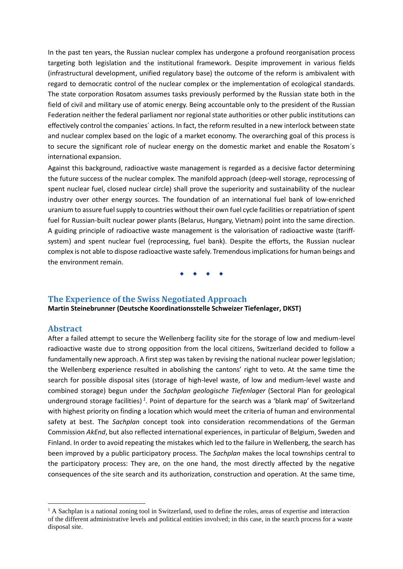In the past ten years, the Russian nuclear complex has undergone a profound reorganisation process targeting both legislation and the institutional framework. Despite improvement in various fields (infrastructural development, unified regulatory base) the outcome of the reform is ambivalent with regard to democratic control of the nuclear complex or the implementation of ecological standards. The state corporation Rosatom assumes tasks previously performed by the Russian state both in the field of civil and military use of atomic energy. Being accountable only to the president of the Russian Federation neither the federal parliament nor regional state authorities or other public institutions can effectively control the companies´ actions. In fact, the reform resulted in a new interlock between state and nuclear complex based on the logic of a market economy. The overarching goal of this process is to secure the significant role of nuclear energy on the domestic market and enable the Rosatom´s international expansion.

Against this background, radioactive waste management is regarded as a decisive factor determining the future success of the nuclear complex. The manifold approach (deep-well storage, reprocessing of spent nuclear fuel, closed nuclear circle) shall prove the superiority and sustainability of the nuclear industry over other energy sources. The foundation of an international fuel bank of low-enriched uranium to assure fuel supply to countries without their own fuel cycle facilities or repatriation of spent fuel for Russian-built nuclear power plants (Belarus, Hungary, Vietnam) point into the same direction. A guiding principle of radioactive waste management is the valorisation of radioactive waste (tariffsystem) and spent nuclear fuel (reprocessing, fuel bank). Despite the efforts, the Russian nuclear complex is not able to dispose radioactive waste safely. Tremendous implications for human beings and the environment remain.

### **The Experience of the Swiss Negotiated Approach**

**Martin Steinebrunner (Deutsche Koordinationsstelle Schweizer Tiefenlager, DKST)**

#### **Abstract**

**.** 

After a failed attempt to secure the Wellenberg facility site for the storage of low and medium-level radioactive waste due to strong opposition from the local citizens, Switzerland decided to follow a fundamentally new approach. A first step was taken by revising the national nuclear power legislation; the Wellenberg experience resulted in abolishing the cantons' right to veto. At the same time the search for possible disposal sites (storage of high-level waste, of low and medium-level waste and combined storage) begun under the *Sachplan geologische Tiefenlager* (Sectoral Plan for geological underground storage facilities)<sup>1</sup>. Point of departure for the search was a 'blank map' of Switzerland with highest priority on finding a location which would meet the criteria of human and environmental safety at best. The *Sachplan* concept took into consideration recommendations of the German Commission *AkEnd*, but also reflected international experiences, in particular of Belgium, Sweden and Finland. In order to avoid repeating the mistakes which led to the failure in Wellenberg, the search has been improved by a public participatory process. The *Sachplan* makes the local townships central to the participatory process: They are, on the one hand, the most directly affected by the negative consequences of the site search and its authorization, construction and operation. At the same time,

<sup>&</sup>lt;sup>1</sup> A Sachplan is a national zoning tool in Switzerland, used to define the roles, areas of expertise and interaction of the different administrative levels and political entities involved; in this case, in the search process for a waste disposal site.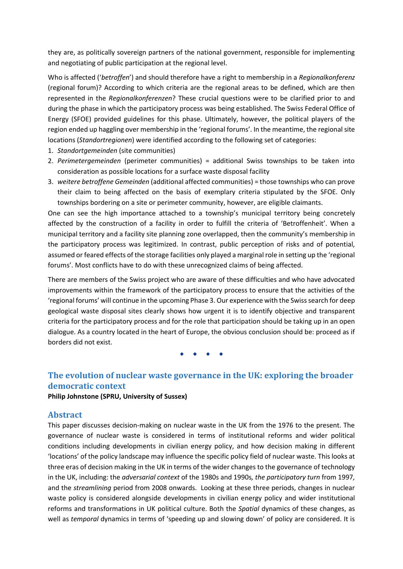they are, as politically sovereign partners of the national government, responsible for implementing and negotiating of public participation at the regional level.

Who is affected ('*betroffen*') and should therefore have a right to membership in a *Regionalkonferenz* (regional forum)? According to which criteria are the regional areas to be defined, which are then represented in the *Regionalkonferenzen*? These crucial questions were to be clarified prior to and during the phase in which the participatory process was being established. The Swiss Federal Office of Energy (SFOE) provided guidelines for this phase. Ultimately, however, the political players of the region ended up haggling over membership in the 'regional forums'. In the meantime, the regional site locations (*Standortregionen*) were identified according to the following set of categories:

- 1. *Standortgemeinden* (site communities)
- 2. *Perimetergemeinden* (perimeter communities) = additional Swiss townships to be taken into consideration as possible locations for a surface waste disposal facility
- 3. *weitere betroffene Gemeinden* (additional affected communities) = those townships who can prove their claim to being affected on the basis of exemplary criteria stipulated by the SFOE. Only townships bordering on a site or perimeter community, however, are eligible claimants.

One can see the high importance attached to a township's municipal territory being concretely affected by the construction of a facility in order to fulfill the criteria of 'Betroffenheit'. When a municipal territory and a facility site planning zone overlapped, then the community's membership in the participatory process was legitimized. In contrast, public perception of risks and of potential, assumed or feared effects of the storage facilities only played a marginal role in setting up the 'regional forums'. Most conflicts have to do with these unrecognized claims of being affected.

There are members of the Swiss project who are aware of these difficulties and who have advocated improvements within the framework of the participatory process to ensure that the activities of the 'regional forums' will continue in the upcoming Phase 3. Our experience with the Swiss search for deep geological waste disposal sites clearly shows how urgent it is to identify objective and transparent criteria for the participatory process and for the role that participation should be taking up in an open dialogue. As a country located in the heart of Europe, the obvious conclusion should be: proceed as if borders did not exist.

# **The evolution of nuclear waste governance in the UK: exploring the broader democratic context**

#### **Philip Johnstone (SPRU, University of Sussex)**

### **Abstract**

This paper discusses decision-making on nuclear waste in the UK from the 1976 to the present. The governance of nuclear waste is considered in terms of institutional reforms and wider political conditions including developments in civilian energy policy, and how decision making in different 'locations' of the policy landscape may influence the specific policy field of nuclear waste. This looks at three eras of decision making in the UK in terms of the wider changes to the governance of technology in the UK, including: the *adversarial context* of the 1980s and 1990s*, the participatory turn* from 1997*,*  and the *streamlining* period from 2008 onwards. Looking at these three periods, changes in nuclear waste policy is considered alongside developments in civilian energy policy and wider institutional reforms and transformations in UK political culture. Both the *Spatial* dynamics of these changes, as well as *temporal* dynamics in terms of 'speeding up and slowing down' of policy are considered. It is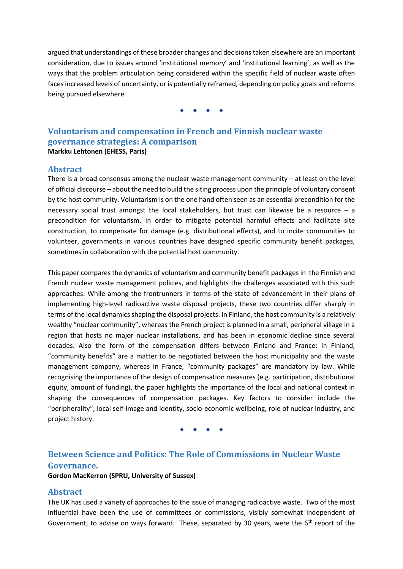argued that understandings of these broader changes and decisions taken elsewhere are an important consideration, due to issues around 'institutional memory' and 'institutional learning', as well as the ways that the problem articulation being considered within the specific field of nuclear waste often faces increased levels of uncertainty, or is potentially reframed, depending on policy goals and reforms being pursued elsewhere.

# **Voluntarism and compensation in French and Finnish nuclear waste governance strategies: A comparison Markku Lehtonen (EHESS, Paris)**

# **Abstract**

There is a broad consensus among the nuclear waste management community  $-$  at least on the level of official discourse – about the need to build the siting process upon the principle of voluntary consent by the host community. Voluntarism is on the one hand often seen as an essential precondition for the necessary social trust amongst the local stakeholders, but trust can likewise be a resource  $-$  a precondition for voluntarism. In order to mitigate potential harmful effects and facilitate site construction, to compensate for damage (e.g. distributional effects), and to incite communities to volunteer, governments in various countries have designed specific community benefit packages, sometimes in collaboration with the potential host community.

This paper compares the dynamics of voluntarism and community benefit packages in the Finnish and French nuclear waste management policies, and highlights the challenges associated with this such approaches. While among the frontrunners in terms of the state of advancement in their plans of implementing high-level radioactive waste disposal projects, these two countries differ sharply in terms of the local dynamics shaping the disposal projects. In Finland, the host community is a relatively wealthy "nuclear community", whereas the French project is planned in a small, peripheral village in a region that hosts no major nuclear installations, and has been in economic decline since several decades. Also the form of the compensation differs between Finland and France: in Finland, "community benefits" are a matter to be negotiated between the host municipality and the waste management company, whereas in France, "community packages" are mandatory by law. While recognising the importance of the design of compensation measures (e.g. participation, distributional equity, amount of funding), the paper highlights the importance of the local and national context in shaping the consequences of compensation packages. Key factors to consider include the "peripherality", local self-image and identity, socio-economic wellbeing, role of nuclear industry, and project history.

# **Between Science and Politics: The Role of Commissions in Nuclear Waste Governance.**

**Gordon MacKerron (SPRU, University of Sussex)**

## **Abstract**

The UK has used a variety of approaches to the issue of managing radioactive waste. Two of the most influential have been the use of committees or commissions, visibly somewhat independent of Government, to advise on ways forward. These, separated by 30 years, were the  $6<sup>th</sup>$  report of the